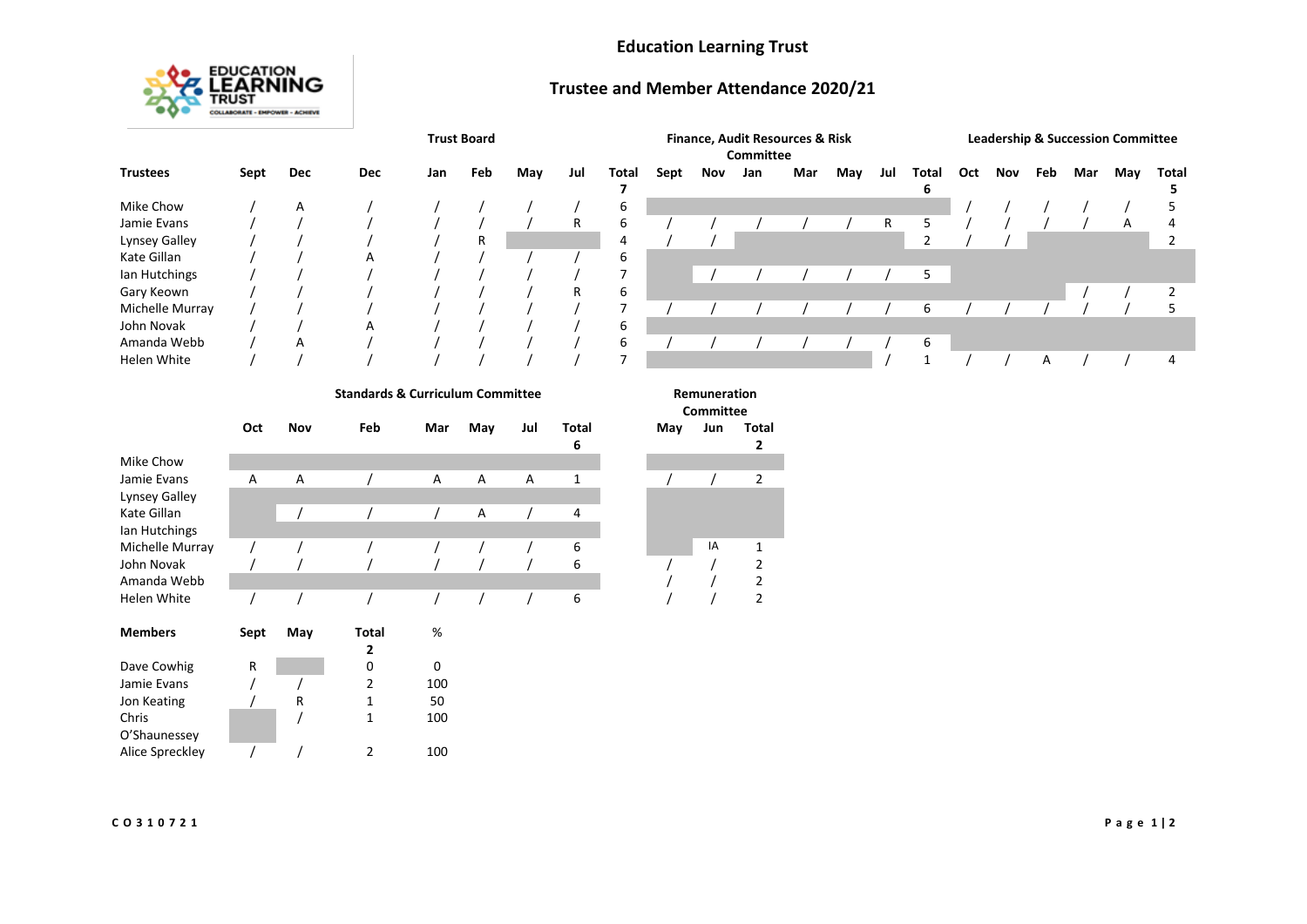### **Education Learning Trust**



### **Trustee and Member Attendance 2020/21**

|                 |      | <b>Trust Board</b> |            |     |     |     | Finance, Audit Resources & Risk<br>Committee |       |      |     |     | <b>Leadership &amp; Succession Committee</b> |     |     |            |     |     |     |     |     |       |
|-----------------|------|--------------------|------------|-----|-----|-----|----------------------------------------------|-------|------|-----|-----|----------------------------------------------|-----|-----|------------|-----|-----|-----|-----|-----|-------|
| <b>Trustees</b> | Sept | Dec                | <b>Dec</b> | Jan | Feb | May | Jul                                          | Total | Sept | Nov | Jan | Mar                                          | May | Jul | Total<br>6 | Oct | Nov | Feb | Mar | May | Total |
| Mike Chow       |      | A                  |            |     |     |     |                                              | b     |      |     |     |                                              |     |     |            |     |     |     |     |     |       |
| Jamie Evans     |      |                    |            |     |     |     | R                                            | b     |      |     |     |                                              |     | R   |            |     |     |     |     | A   |       |
| Lynsey Galley   |      |                    |            |     | R   |     |                                              | 4     |      |     |     |                                              |     |     |            |     |     |     |     |     |       |
| Kate Gillan     |      |                    | A          |     |     |     |                                              | ь     |      |     |     |                                              |     |     |            |     |     |     |     |     |       |
| lan Hutchings   |      |                    |            |     |     |     |                                              |       |      |     |     |                                              |     |     | 5          |     |     |     |     |     |       |
| Gary Keown      |      |                    |            |     |     |     | R                                            | 6     |      |     |     |                                              |     |     |            |     |     |     |     |     |       |
| Michelle Murray |      |                    |            |     |     |     |                                              |       |      |     |     |                                              |     |     | b          |     |     |     |     |     |       |
| John Novak      |      |                    | A          |     |     |     |                                              | ь     |      |     |     |                                              |     |     |            |     |     |     |     |     |       |
| Amanda Webb     |      | A                  |            |     |     |     |                                              | h     |      |     |     |                                              |     |     | 6          |     |     |     |     |     |       |
| Helen White     |      |                    |            |     |     |     |                                              |       |      |     |     |                                              |     |     |            |     |     | A   |     |     |       |

#### **Standards & Curriculum Committee Remuneration**

|                    | Oct  | Nov | Feb   | Mar | May | Jul | Total<br>6 | May | Jun | Tot<br>2       |
|--------------------|------|-----|-------|-----|-----|-----|------------|-----|-----|----------------|
| Mike Chow          |      |     |       |     |     |     |            |     |     |                |
| Jamie Evans        | A    | A   |       | A   | Α   | Α   | 1          |     |     | $\overline{c}$ |
| Lynsey Galley      |      |     |       |     |     |     |            |     |     |                |
| Kate Gillan        |      |     |       |     | A   |     | 4          |     |     |                |
| lan Hutchings      |      |     |       |     |     |     |            |     |     |                |
| Michelle Murray    |      |     |       |     |     |     | 6          |     | IA  | 1              |
| John Novak         |      |     |       |     |     |     | 6          |     |     | 2              |
| Amanda Webb        |      |     |       |     |     |     |            |     |     | $\overline{c}$ |
| <b>Helen White</b> |      |     |       |     |     |     | 6          |     |     | $\overline{c}$ |
| <b>Members</b>     | Sept | May | Total | %   |     |     |            |     |     |                |
|                    |      |     | 2     |     |     |     |            |     |     |                |
| Dave Cowhig        | R    |     | 0     | 0   |     |     |            |     |     |                |
| Jamie Evans        |      |     | 2     | 100 |     |     |            |     |     |                |
| Jon Keating        |      | R   | 1     | 50  |     |     |            |     |     |                |
| Chris              |      |     | 1     | 100 |     |     |            |     |     |                |
| O'Shaunessey       |      |     |       |     |     |     |            |     |     |                |
| Alice Spreckley    |      |     | 2     | 100 |     |     |            |     |     |                |

# **Committee**

**May Jun Total**

| ivia y | JUII | ινιαι<br>2                                 |
|--------|------|--------------------------------------------|
|        |      |                                            |
|        |      | 2                                          |
|        |      |                                            |
|        |      |                                            |
|        |      |                                            |
|        | IA   |                                            |
|        |      |                                            |
|        |      | $\begin{array}{c} 1 \\ 2 \\ 2 \end{array}$ |
|        |      |                                            |